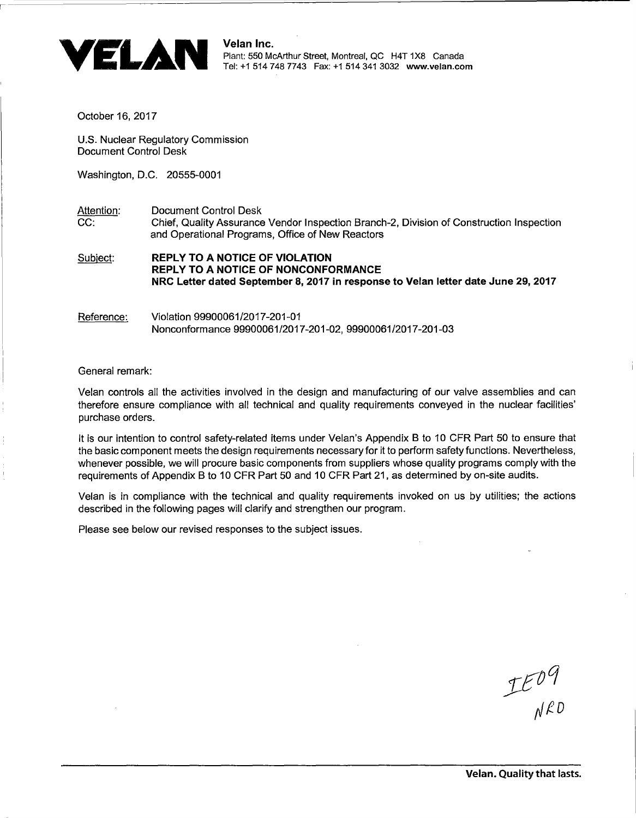

October 16, 2017

U.S. Nuclear Regulatory Commission Document Control Desk

Washington, D.C. 20555-0001

Attention: Document Control Desk CC: Chief, Quality Assurance Vendor Inspection Branch-2, Division of Construction Inspection and Operational Programs, Office of New Reactors

Subject: REPLY TO A NOTICE OF VIOLATION REPLY TO A NOTICE OF NONCONFORMANCE NRC Letter dated September 8, 2017 in response to Velan letter date June 29, 2017

Reference: Violation 99900061/2017-201-01 Nonconformance 99900061/2017-201-02, 99900061/2017-201-03

General remark:

Velan controls all the activities involved in the design and manufacturing of our valve assemblies and can therefore ensure compliance with all technical and quality requirements conveyed in the nuclear facilities' purchase orders.

It is our intention to control safety-related items under Velan's Appendix B to 10 CFR Part 50 to ensure that the basic component meets the design requirements necessary for it to perform safety functions. Nevertheless, whenever possible, we will procure basic components from suppliers whose quality programs comply with the requirements of Appendix B to 10 CFR Part 50 and 10 CFR Part 21, as determined by on-site audits.

Velan is in compliance with the technical and quality requirements invoked on us by utilities; the actions described in the following pages will clarify and strengthen our program.

Please see below our revised responses to the subject issues.

 $TE^{04}$ <br>NRD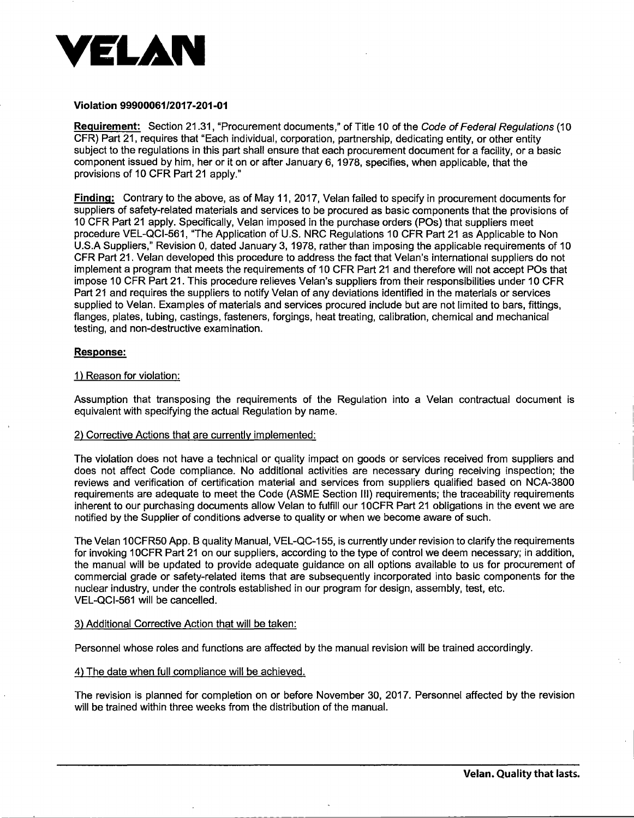

### Violation 9990006112017-201-01

Requirement: Section 21.31, "Procurement documents," of Title 10 of the Code of Federal Requlations (10 CFR) Part 21, requires that "Each individual, corporation, partnership, dedicating entity, or other entity subject to the regulations in this part shall ensure that each procurement document for a facility, or a basic component issued by him, her or it on or after January 6, 1978, specifies, when applicable, that the provisions of 10 CFR Part 21 apply."

Finding: Contrary to the above, as of May 11, 2017, Velan failed to specify in procurement documents for suppliers of safety-related materials and services to be procured as basic components that the provisions of 10 CFR Part 21 apply. Specifically, Velan imposed in the purchase orders (POs) that suppliers meet procedure VEL-QCl-561, "The Application of U.S. NRC Regulations 10 CFR Part 21 as Applicable to Non U.S.A Suppliers," Revision 0, dated January 3, 1978, rather than imposing the applicable requirements of 10 CFR Part 21. Velan developed this procedure to address the fact that Velan's international suppliers do not implement a program that meets the requirements of 10 CFR Part 21 and therefore will not accept POs that impose 10 CFR Part 21. This procedure relieves Velan's suppliers from their responsibilities under 10 CFR Part 21 and requires the suppliers to notify Velan of any deviations identified in the materials or services supplied to Velan. Examples of materials and services procured include but are not limited to bars, fittings, flanges, plates, tubing, castings, fasteners, forgings, heat treating, calibration, chemical and mechanical testing, and non-destructive examination.

# Response:

## 1) Reason for violation:

Assumption that transposing the requirements of the Regulation into a Velan contractual document is equivalent with specifying the actual Regulation by name.

#### 2) Corrective Actions that are currently implemented:

The violation does not have a technical or quality impact on goods or services received from suppliers and does not affect Code compliance. No additional activities are necessary during receiving inspection; the reviews and verification of certification material and services from suppliers qualified based on NCA-3800 requirements are adequate to meet the Code (ASME Section Ill) requirements; the traceability requirements inherent to our purchasing documents allow Velan to fulfill our 10CFR Part 21 obligations in the event we are notified by the Supplier of conditions adverse to quality or when we become aware of such.

The Velan 10CFR50 App. B quality Manual, VEL-QC-155, is currently under revision to clarify the requirements for invoking 1 OCFR Part 21 on our suppliers, according to the type of control we deem necessary; in addition, the manual will be updated to provide adequate guidance on all options available to us for procurement of commercial grade or safety-related items that are subsequently incorporated into basic components for the nuclear industry, under the controls established in our program for design, assembly, test, etc. VEL-QCl-561 will be cancelled.

#### 3) Additional Corrective Action that will be taken:

Personnel whose roles and functions are affected by the manual revision will be trained accordingly.

# 4) The date when full compliance will be achieved.

The revision is planned for completion on or before November 30, 2017. Personnel affected by the revision will be trained within three weeks from the distribution of the manual.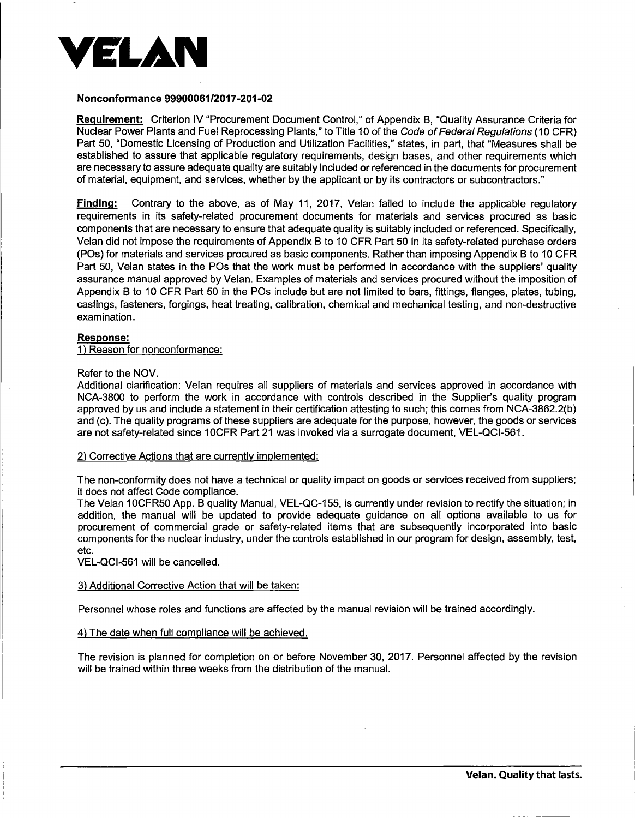

# Nonconformance 9990006112017-201-02

Requirement: Criterion IV "Procurement Document Control," of Appendix B, "Quality Assurance Criteria for Nuclear Power Plants and Fuel Reprocessing Plants," to Title 10 of the Code of Federal Regulations (10 CFR) Part 50, "Domestic Licensing of Production and Utilization Facilities," states, in part, that "Measures shall be established to assure that applicable regulatory requirements, design bases, and other requirements which are necessary to assure adequate quality are suitably included or referenced in the documents for procurement of material, equipment, and services, whether by the applicant or by its contractors or subcontractors."

**Finding:** Contrary to the above, as of May 11, 2017, Velan failed to include the applicable regulatory requirements in its safety-related procurement documents for materials and services procured as basic components that are necessary to ensure that adequate quality is suitably included or referenced. Specifically, Velan did not impose the requirements of Appendix B to 10 CFR Part 50 in its safety-related purchase orders (POs) for materials and services procured as basic components. Rather than imposing Appendix B to 10 CFR Part 50, Velan states in the POs that the work must be performed in accordance with the suppliers' quality assurance manual approved by Velan. Examples of materials and services procured without the imposition of Appendix B to 10 CFR Part 50 in the POs include but are not limited to bars, fittings, flanges, plates, tubing, castings, fasteners, forgings, heat treating, calibration, chemical and mechanical testing, and non-destructive examination.

## Response:

1) Reason for nonconformance:

## Refer to the NOV.

Additional clarification: Velan requires all suppliers of materials and services approved in accordance with NCA-3800 to perform the work in accordance with controls described in the Supplier's quality program approved by us and include a statement in their certification attesting to such; this comes from NCA-3862.2(b} and (c). The quality programs of these suppliers are adequate for the purpose, however, the goods or services are not safety-related since 10CFR Part 21 was invoked via a surrogate document, VEL-QCl-561.

#### 2) Corrective Actions that are currently implemented:

The non-conformity does not have a technical or quality impact on goods or services received from suppliers; it does not affect Code compliance.

The Velan 10CFR50 App. B quality Manual, VEL-QC-155, is currently under revision to rectify the situation; in addition, the manual will be updated to provide adequate guidance on all options available to us for procurement of commercial grade or safety-related items that are subsequently incorporated into basic components for the nuclear industry, under the controls established in our program for design, assembly, test, etc.

VEL-QCl-561 will be cancelled.

# 3) Additional Corrective Action that will be taken:

Personnel whose roles and functions are affected by the manual revision will be trained accordingly.

# 4) The date when full compliance will be achieved.

The revision is planned for completion on or before November 30, 2017. Personnel affected by the revision will be trained within three weeks from the distribution of the manual.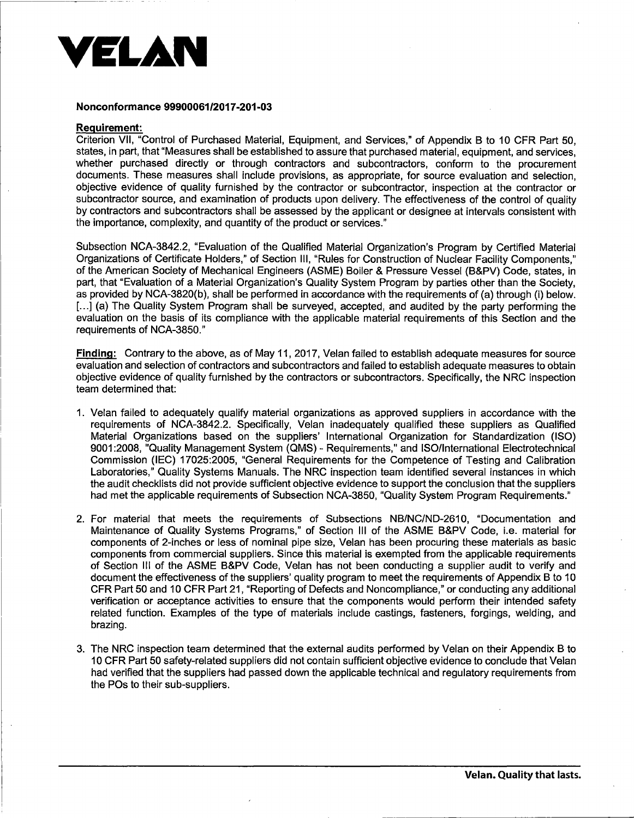

### Nonconformance 99900061/2017-201-03

## Requirement:

Criterion VII, "Control of Purchased Material, Equipment, and Services," of Appendix B to 10 CFR Part 50, states, in part, that "Measures shall be established to assure that purchased material, equipment, and services, whether purchased directly or through contractors and subcontractors, conform to the procurement documents. These measures shall include provisions, as appropriate, for source evaluation and selection, objective evidence of quality furnished by the contractor or subcontractor, inspection at the contractor or subcontractor source, and examination of products upon delivery. The effectiveness of the control of quality by contractors and subcontractors shall be assessed by the applicant or designee at intervals consistent with the importance, complexity, and quantity of the product or services."

Subsection NCA-3842.2, "Evaluation of the Qualified Material Organization's Program by Certified Material Organizations of Certificate Holders," of Section Ill, "Rules for Construction of Nuclear Facility Components," of the American Society of Mechanical Engineers (ASME) Boiler & Pressure Vessel (B&PV) Code, states, in part, that "Evaluation of a Material Organization's Quality System Program by parties other than the Society, as provided by NCA-3820(b), shall be performed in accordance with the requirements of (a) through (i) below. [...] (a) The Quality System Program shall be surveyed, accepted, and audited by the party performing the evaluation on the basis of its compliance with the applicable material requirements of this Section and the requirements of NCA-3850."

Finding: Contrary to the above, as of May 11, 2017, Velan failed to establish adequate measures for source evaluation and selection of contractors and subcontractors and failed to establish adequate measures to obtain objective evidence of quality furnished by the contractors or subcontractors. Specifically, the NRC inspection team determined that:

- 1. Velan failed to adequately qualify material organizations as approved suppliers in accordance with the requirements of NCA-3842.2. Specifically, Velan inadequately qualified these suppliers as Qualified Material Organizations based on the suppliers' International Organization for Standardization (ISO) 9001 :2008, "Quality Management System (QMS) - Requirements," and ISO/International Electrotechnical Commission (IEC) 17025:2005, "General Requirements for the Competence of Testing and Calibration Laboratories," Quality Systems Manuals. The NRC inspection team identified several instances in which the audit checklists did not provide sufficient objective evidence to support the conclusion that the suppliers had met the applicable requirements of Subsection NCA-3850, "Quality System Program Requirements."
- 2. For material that meets the requirements of Subsections NB/NC/ND-2610, "Documentation and Maintenance of Quality Systems Programs," of Section Ill of the ASME B&PV Code, i.e. material for components of 2-inches or less of nominal pipe size, Velan has been procuring these materials as basic components from commercial suppliers. Since this material is exempted from the applicable requirements of Section Ill of the ASME B&PV Code, Velan has not been conducting a supplier audit to verify and document the effectiveness of the suppliers' quality program to meet the requirements of Appendix B to 10 CFR Part 50 and 10 CFR Part 21, "Reporting of Defects and Noncompliance," or conducting any additional verification or acceptance activities to ensure that the components would perform their intended safety related function. Examples of the type of materials include castings, fasteners, forgings, welding, and brazing.
- 3. The NRC inspection team determined that the external audits performed by Velan on their Appendix B to 10 CFR Part 50 safety-related suppliers did not contain sufficient objective evidence to conclude that Velan had verified that the suppliers had passed down the applicable technical and regulatory requirements from the POs to their sub-suppliers.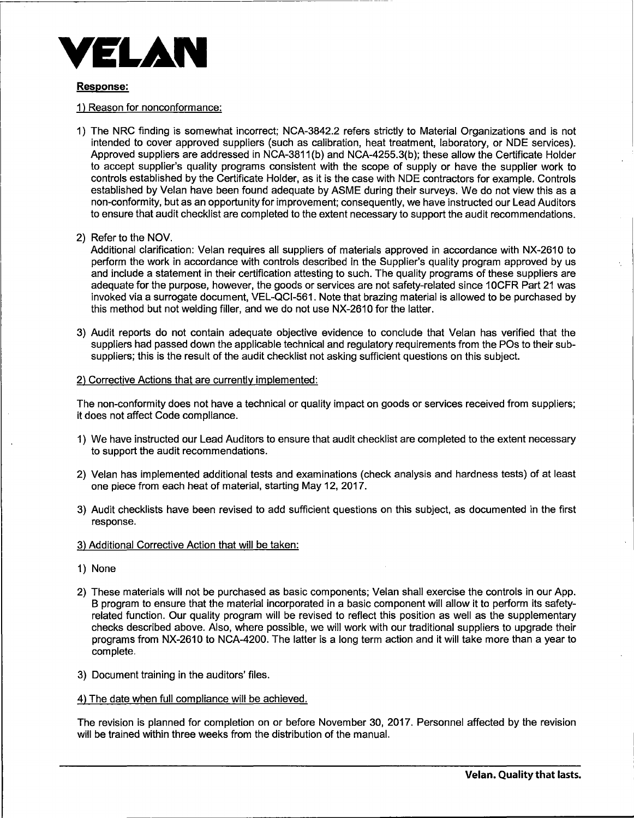

# Response:

- 1) Reason for nonconformance:
- 1) The NRG finding is somewhat incorrect; NCA-3842.2 refers strictly to Material Organizations and is not intended to cover approved suppliers (such as calibration, heat treatment, laboratory, or NDE services). Approved suppliers are addressed in NCA-3811 (b) and NCA-4255.3(b); these allow the Certificate Holder to accept supplier's quality programs consistent with the scope of supply or have the supplier work to controls established by the Certificate Holder, as it is the case with NDE contractors for example. Controls established by Velan have been found adequate by ASME during their surveys. We do not view this as a non-conformity, but as an opportunity for improvement; consequently, we have instructed our Lead Auditors to ensure that audit checklist are completed to the extent necessary to support the audit recommendations.
- 2) Refer to the NOV.

Additional clarification: Velan requires all suppliers of materials approved in accordance with NX-2610 to perform the work in accordance with controls described in the Supplier's quality program approved by us and include a statement in their certification attesting to such. The quality programs of these suppliers are adequate for the purpose, however, the goods or services are not safety-related since 10CFR Part 21 was invoked via a surrogate document, VEL-QCl-561. Note that brazing material is allowed to be purchased by this method but not welding filler, and we do not use NX-2610 for the latter.

3) Audit reports do not contain adequate objective evidence to conclude that Velan has verified that the suppliers had passed down the applicable technical and regulatory requirements from the POs to their subsuppliers; this is the result of the audit checklist not asking sufficient questions on this subject.

# 2) Corrective Actions that are currently implemented:

The non-conformity does not have a technical or quality impact on goods or services received from suppliers; it does not affect Code compliance.

- 1) We have instructed our Lead Auditors to ensure that audit checklist are completed to the extent necessary to support the audit recommendations.
- 2) Velan has implemented additional tests and examinations (check analysis and hardness tests) of at least one piece from each heat of material, starting May 12, 2017.
- 3) Audit checklists have been revised to add sufficient questions on this subject, as documented in the first response.
- 3) Additional Corrective Action that will be taken:
- 1) None
- 2) These materials will not be purchased as basic components; Velan shall exercise the controls in our App. B program to ensure that the material incorporated in a basic component will allow it to perform its safetyrelated function. Our quality program will be revised to reflect this position as well as the supplementary checks described above. Also, where possible, we will work with our traditional suppliers to upgrade their programs from NX-2610 to NCA-4200. The latter is a long term action and it will take more than a year to complete.
- 3) Document training in the auditors' files.
- 4) The date when full compliance will be achieved.

The revision is planned for completion on or before November 30, 2017. Personnel affected by the revision will be trained within three weeks from the distribution of the manual.